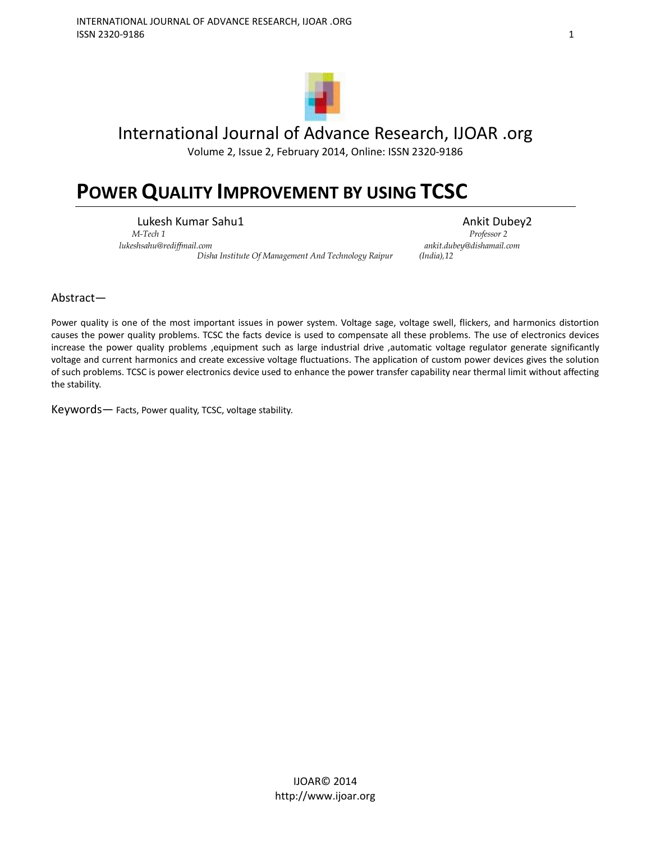

# International Journal of Advance Research, IJOAR .org

Volume 2, Issue 2, February 2014, Online: ISSN 2320-9186

# **POWER QUALITY IMPROVEMENT BY USING TCSC**

Lukesh Kumar Sahu1<br>M-Tech 1  *M-Tech 1 Professor 2 [lukeshsahu@rediffmail.com](mailto:lukeshsahu@rediffmail.com) ankit.dubey@dishamail.com*

**Ankit Dubey2**<br>*Professor* 2 *Disha Institute Of Management And Technology Raipur (India),12*

Abstract—

Power quality is one of the most important issues in power system. Voltage sage, voltage swell, flickers, and harmonics distortion causes the power quality problems. TCSC the facts device is used to compensate all these problems. The use of electronics devices increase the power quality problems ,equipment such as large industrial drive ,automatic voltage regulator generate significantly voltage and current harmonics and create excessive voltage fluctuations. The application of custom power devices gives the solution of such problems. TCSC is power electronics device used to enhance the power transfer capability near thermal limit without affecting the stability.

Keywords— Facts, Power quality, TCSC, voltage stability.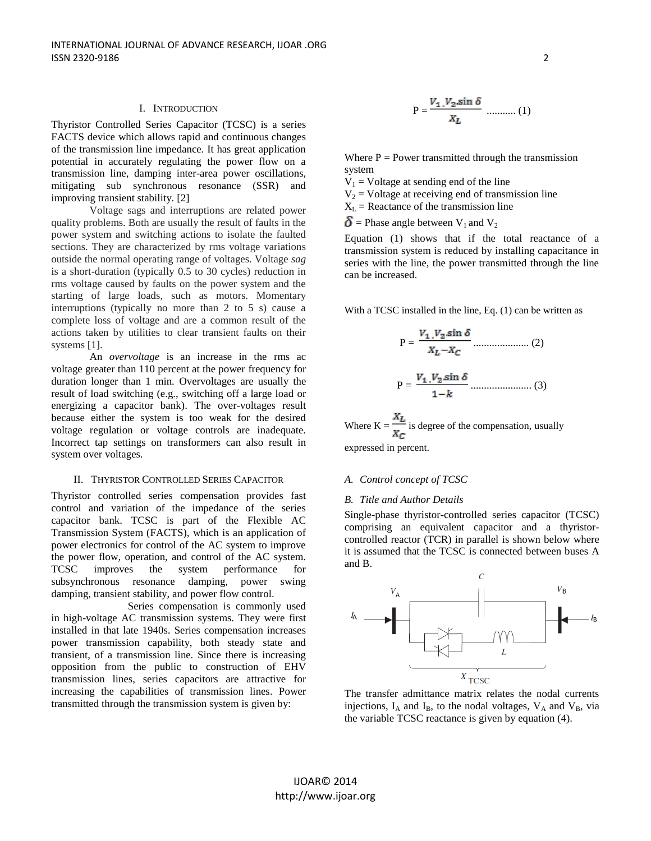#### I. INTRODUCTION

Thyristor Controlled Series Capacitor (TCSC) is a series FACTS device which allows rapid and continuous changes of the transmission line impedance. It has great application potential in accurately regulating the power flow on a transmission line, damping inter-area power oscillations, mitigating sub synchronous resonance (SSR) and improving transient stability. [2]

Voltage sags and interruptions are related power quality problems. Both are usually the result of faults in the power system and switching actions to isolate the faulted sections. They are characterized by rms voltage variations outside the normal operating range of voltages. Voltage *sag*  is a short-duration (typically 0.5 to 30 cycles) reduction in rms voltage caused by faults on the power system and the starting of large loads, such as motors. Momentary interruptions (typically no more than 2 to 5 s) cause a complete loss of voltage and are a common result of the actions taken by utilities to clear transient faults on their systems [1].

An *overvoltage* is an increase in the rms ac voltage greater than 110 percent at the power frequency for duration longer than 1 min. Overvoltages are usually the result of load switching (e.g., switching off a large load or energizing a capacitor bank). The over-voltages result because either the system is too weak for the desired voltage regulation or voltage controls are inadequate. Incorrect tap settings on transformers can also result in system over voltages.

#### II. THYRISTOR CONTROLLED SERIES CAPACITOR

Thyristor controlled series compensation provides fast control and variation of the impedance of the series capacitor bank. TCSC is part of the Flexible AC Transmission System (FACTS), which is an application of power electronics for control of the AC system to improve the power flow, operation, and control of the AC system. TCSC improves the system performance for subsynchronous resonance damping, power swing damping, transient stability, and power flow control.

Series compensation is commonly used in high-voltage AC transmission systems. They were first installed in that late 1940s. Series compensation increases power transmission capability, both steady state and transient, of a transmission line. Since there is increasing opposition from the public to construction of EHV transmission lines, series capacitors are attractive for increasing the capabilities of transmission lines. Power transmitted through the transmission system is given by:

$$
P = \frac{V_1 V_2 \sin \delta}{X_L}
$$
 ......... (1)

Where  $P = Power$  transmitted through the transmission system

 $V_1$  = Voltage at sending end of the line

 $V_2$  = Voltage at receiving end of transmission line

 $X_L$  = Reactance of the transmission line

 $\delta$  = Phase angle between V<sub>1</sub> and V<sub>2</sub>

Equation (1) shows that if the total reactance of a transmission system is reduced by installing capacitance in series with the line, the power transmitted through the line can be increased.

With a TCSC installed in the line, Eq. (1) can be written as

$$
P = \frac{V_1 V_2 \sin \delta}{X_L - X_C}
$$
................. (2)  

$$
P = \frac{V_1 V_2 \sin \delta}{1 - k}
$$
................. (3)

Where  $K = \frac{X_L}{X_C}$  is degree of the compensation, usually

expressed in percent.

#### *A. Control concept of TCSC*

#### *B. Title and Author Details*

Single-phase thyristor-controlled series capacitor (TCSC) comprising an equivalent capacitor and a thyristorcontrolled reactor (TCR) in parallel is shown below where it is assumed that the TCSC is connected between buses A and B.



The transfer admittance matrix relates the nodal currents injections,  $I_A$  and  $I_B$ , to the nodal voltages,  $V_A$  and  $V_B$ , via the variable TCSC reactance is given by equation (4).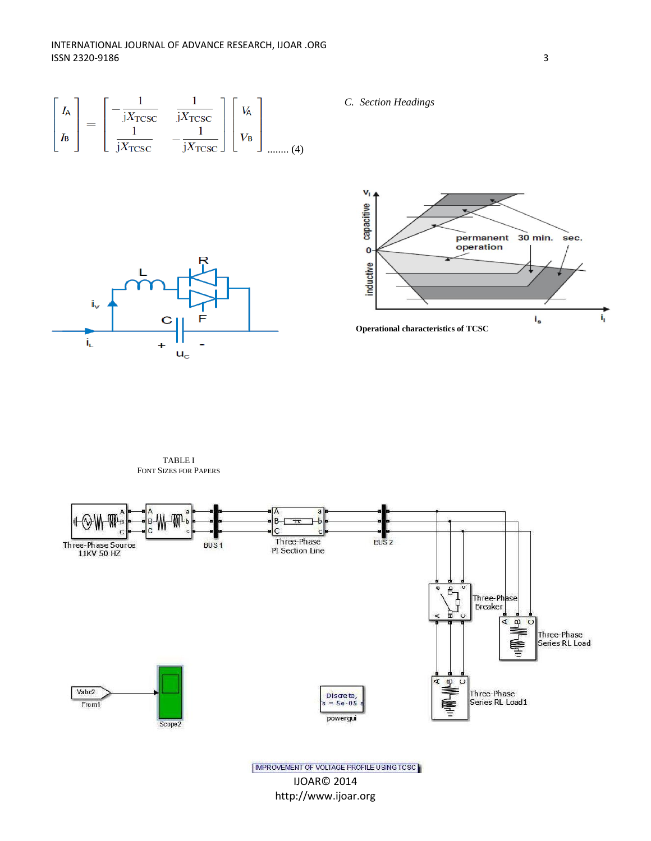

*C. Section Headings*





TABLE I FONT SIZES FOR PAPERS



**IMPROVEMENT OF VOLTAGE PROFILE USING TCSC** 

IJOAR© 2014 http://www.ijoar.org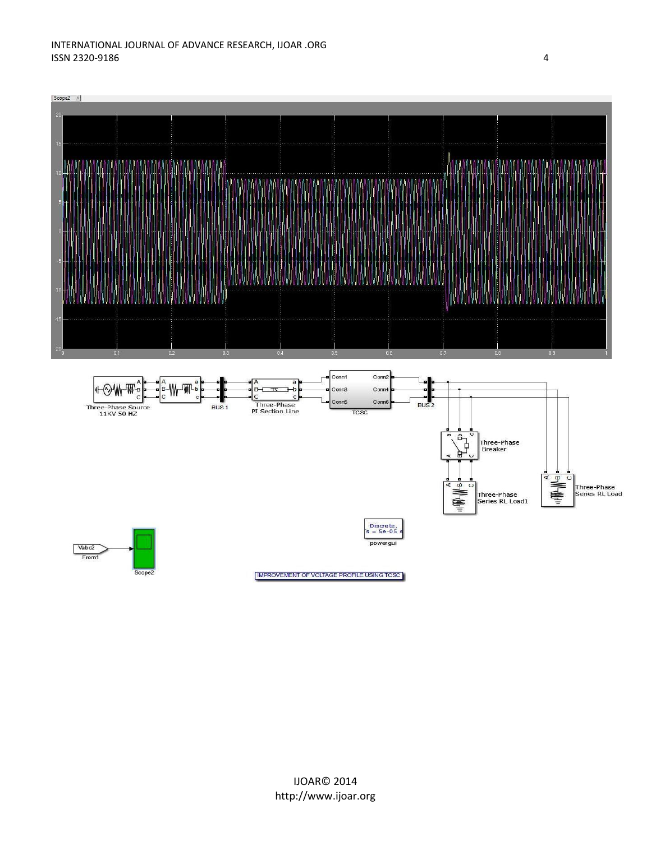### INTERNATIONAL JOURNAL OF ADVANCE RESEARCH, IJOAR .ORG ISSN 2320-9186 4